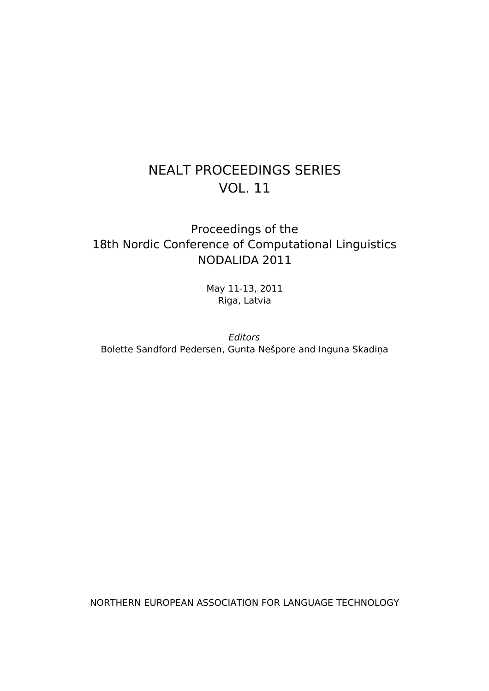## NEALT PROCEEDINGS SERIES VOL. 11

## Proceedings of the 18th Nordic Conference of Computational Linguistics NODALIDA 2011

May 11-13, 2011 Riga, Latvia

Editors Bolette Sandford Pedersen, Gunta Nešpore and Inguna Skadiņa

NORTHERN EUROPEAN ASSOCIATION FOR LANGUAGE TECHNOLOGY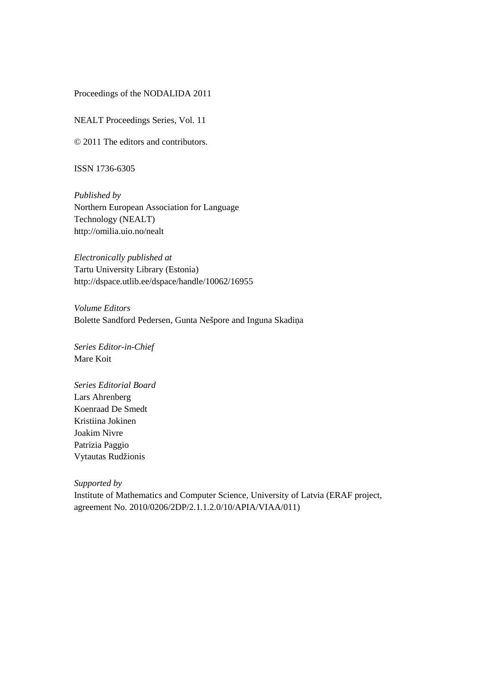#### Proceedings of the NODALIDA 2011

NEALT Proceedings Series, Vol. 11

© 2011 The editors and contributors.

ISSN 1736-6305

*Published by* Northern European Association for Language Technology (NEALT) http://omilia.uio.no/nealt

*Electronically published at* Tartu University Library (Estonia) http://dspace.utlib.ee/dspace/handle/10062/16955

*Volume Editors* Bolette Sandford Pedersen, Gunta Nešpore and Inguna Skadiņa

*Series Editor-in-Chief* Mare Koit

*Series Editorial Board* Lars Ahrenberg Koenraad De Smedt Kristiina Jokinen Joakim Nivre Patrizia Paggio Vytautas Rudžionis

*Supported by* Institute of Mathematics and Computer Science, University of Latvia (ERAF project, agreement No. 2010/0206/2DP/2.1.1.2.0/10/APIA/VIAA/011)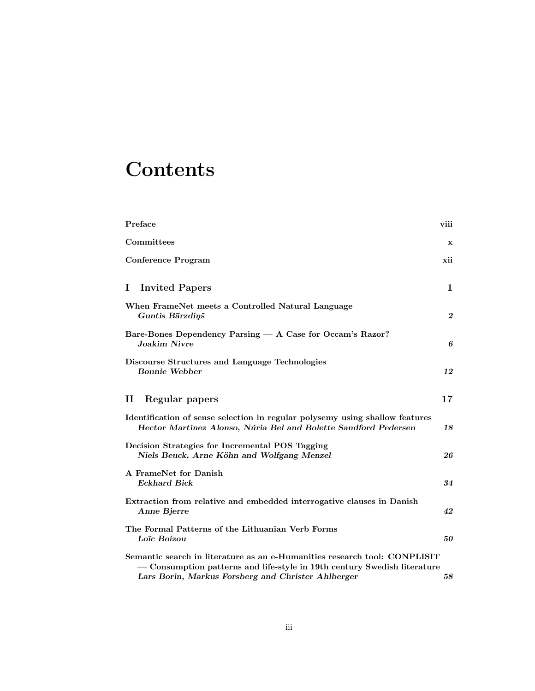# **Contents**

| Preface                                                                                                                                                                                                     | viii             |
|-------------------------------------------------------------------------------------------------------------------------------------------------------------------------------------------------------------|------------------|
| Committees                                                                                                                                                                                                  | x                |
| <b>Conference Program</b>                                                                                                                                                                                   | xii              |
| <b>Invited Papers</b><br>Ι.                                                                                                                                                                                 | $\mathbf 1$      |
| When FrameNet meets a Controlled Natural Language<br>Guntis Bārzdiņš                                                                                                                                        | $\boldsymbol{2}$ |
| Bare-Bones Dependency Parsing - A Case for Occam's Razor?<br><b>Joakim Nivre</b>                                                                                                                            | 6                |
| Discourse Structures and Language Technologies<br><b>Bonnie Webber</b>                                                                                                                                      | 12               |
| $\mathbf{I}$<br>Regular papers                                                                                                                                                                              | $17\,$           |
| Identification of sense selection in regular polysemy using shallow features<br>Hector Martinez Alonso, Núria Bel and Bolette Sandford Pedersen                                                             | 18               |
| Decision Strategies for Incremental POS Tagging<br>Niels Beuck, Arne Köhn and Wolfgang Menzel                                                                                                               | 26               |
| A FrameNet for Danish<br><b>Eckhard Bick</b>                                                                                                                                                                | 34               |
| Extraction from relative and embedded interrogative clauses in Danish<br>Anne Bjerre                                                                                                                        | 42               |
| The Formal Patterns of the Lithuanian Verb Forms<br>Loïc Boizou                                                                                                                                             | 50               |
| Semantic search in literature as an e-Humanities research tool: CONPLISIT<br>- Consumption patterns and life-style in 19th century Swedish literature<br>Lars Borin, Markus Forsberg and Christer Ahlberger | 58               |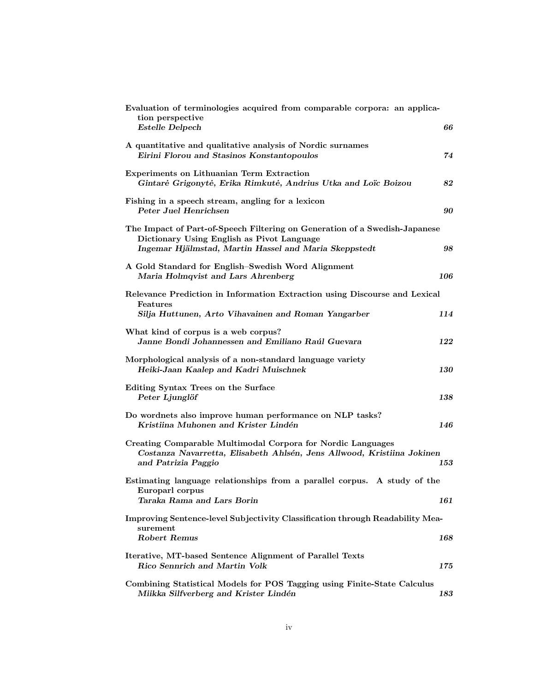| Evaluation of terminologies acquired from comparable corpora: an applica-<br>tion perspective<br><b>Estelle Delpech</b>                                                           | 66  |
|-----------------------------------------------------------------------------------------------------------------------------------------------------------------------------------|-----|
| A quantitative and qualitative analysis of Nordic surnames<br>Eirini Florou and Stasinos Konstantopoulos                                                                          | 74  |
| Experiments on Lithuanian Term Extraction<br>Gintarė Grigonytė, Erika Rimkutė, Andrius Utka and Loïc Boizou                                                                       | 82  |
| Fishing in a speech stream, angling for a lexicon<br>Peter Juel Henrichsen                                                                                                        | 90  |
| The Impact of Part-of-Speech Filtering on Generation of a Swedish-Japanese<br>Dictionary Using English as Pivot Language<br>Ingemar Hjälmstad, Martin Hassel and Maria Skeppstedt | 98  |
| A Gold Standard for English-Swedish Word Alignment<br>Maria Holmqvist and Lars Ahrenberg                                                                                          | 106 |
| Relevance Prediction in Information Extraction using Discourse and Lexical<br>Features<br>Silja Huttunen, Arto Vihavainen and Roman Yangarber                                     | 114 |
| What kind of corpus is a web corpus?<br>Janne Bondi Johannessen and Emiliano Raúl Guevara                                                                                         | 122 |
| Morphological analysis of a non-standard language variety<br>Heiki-Jaan Kaalep and Kadri Muischnek                                                                                | 130 |
| Editing Syntax Trees on the Surface<br>Peter Ljunglöf                                                                                                                             | 138 |
| Do wordnets also improve human performance on NLP tasks?<br>Kristiina Muhonen and Krister Lindén                                                                                  | 146 |
| Creating Comparable Multimodal Corpora for Nordic Languages<br>Costanza Navarretta, Elisabeth Ahlsén, Jens Allwood, Kristiina Jokinen<br>and Patrizia Paggio                      | 153 |
| Estimating language relationships from a parallel corpus. A study of the<br>Europarl corpus<br>Taraka Rama and Lars Borin                                                         | 161 |
| Improving Sentence-level Subjectivity Classification through Readability Mea-<br>surement                                                                                         |     |
| <b>Robert Remus</b>                                                                                                                                                               | 168 |
| Iterative, MT-based Sentence Alignment of Parallel Texts<br>Rico Sennrich and Martin Volk                                                                                         | 175 |
| Combining Statistical Models for POS Tagging using Finite-State Calculus<br>Miikka Silfverberg and Krister Lindén                                                                 | 183 |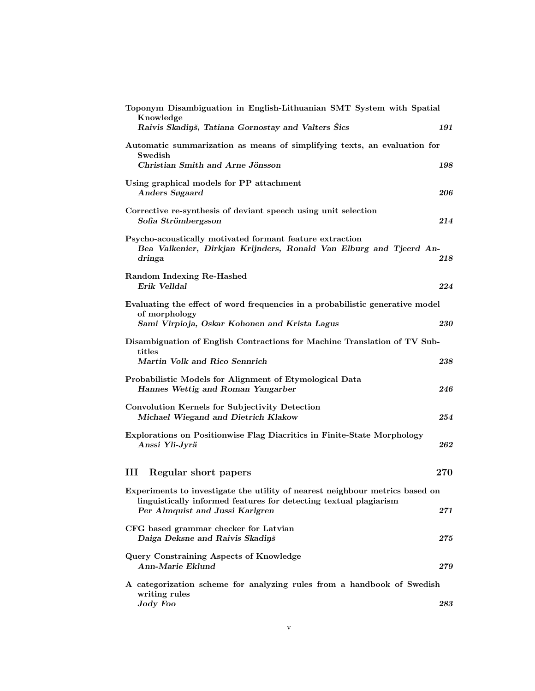| Toponym Disambiguation in English-Lithuanian SMT System with Spatial<br>Knowledge                                                                                                    |           |
|--------------------------------------------------------------------------------------------------------------------------------------------------------------------------------------|-----------|
| Raivis Skadiņš, Tatiana Gornostay and Valters Šics                                                                                                                                   | 191       |
| Automatic summarization as means of simplifying texts, an evaluation for<br>Swedish                                                                                                  |           |
| Christian Smith and Arne Jönsson                                                                                                                                                     | 198       |
| Using graphical models for PP attachment<br>Anders Søgaard                                                                                                                           | 206       |
| Corrective re-synthesis of deviant speech using unit selection<br>Sofia Strömbergsson                                                                                                | 214       |
| Psycho-acoustically motivated formant feature extraction<br>Bea Valkenier, Dirkjan Krijnders, Ronald Van Elburg and Tjeerd An-<br>dringa                                             | 218       |
| Random Indexing Re-Hashed<br>Erik Velldal                                                                                                                                            | 224       |
| Evaluating the effect of word frequencies in a probabilistic generative model<br>of morphology<br>Sami Virpioja, Oskar Kohonen and Krista Lagus                                      | 230       |
| Disambiguation of English Contractions for Machine Translation of TV Sub-<br>titles<br>Martin Volk and Rico Sennrich                                                                 | 238       |
| Probabilistic Models for Alignment of Etymological Data<br>Hannes Wettig and Roman Yangarber                                                                                         | 246       |
| Convolution Kernels for Subjectivity Detection<br>Michael Wiegand and Dietrich Klakow                                                                                                | 254       |
| Explorations on Positionwise Flag Diacritics in Finite-State Morphology<br>Anssi Yli-Jyrä                                                                                            | 262       |
| Ш<br>Regular short papers                                                                                                                                                            | 270       |
| Experiments to investigate the utility of nearest neighbour metrics based on<br>linguistically informed features for detecting textual plagiarism<br>Per Almquist and Jussi Karlgren | 271       |
| CFG based grammar checker for Latvian<br>Daiga Deksne and Raivis Skadiņš                                                                                                             | $\bf 275$ |
| Query Constraining Aspects of Knowledge<br>Ann-Marie Eklund                                                                                                                          | 279       |
| A categorization scheme for analyzing rules from a handbook of Swedish<br>writing rules<br>Jody Foo                                                                                  | 283       |
|                                                                                                                                                                                      |           |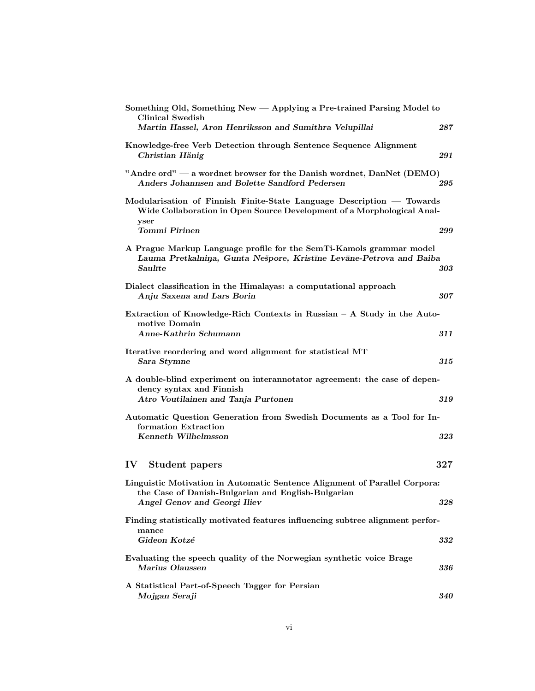| Something Old, Something New — Applying a Pre-trained Parsing Model to<br><b>Clinical Swedish</b>                                                                               |         |
|---------------------------------------------------------------------------------------------------------------------------------------------------------------------------------|---------|
| Martin Hassel, Aron Henriksson and Sumithra Velupillai                                                                                                                          | 287     |
| Knowledge-free Verb Detection through Sentence Sequence Alignment<br>Christian Hänig                                                                                            | 291     |
| "Andre ord" — a wordnet browser for the Danish wordnet, DanNet (DEMO)<br>Anders Johannsen and Bolette Sandford Pedersen                                                         | 295     |
| Modularisation of Finnish Finite-State Language Description — Towards<br>Wide Collaboration in Open Source Development of a Morphological Anal-<br>yser<br><b>Tommi Pirinen</b> | 299     |
| A Prague Markup Language profile for the SemTi-Kamols grammar model<br>Lauma Pretkalniņa, Gunta Nešpore, Kristīne Levāne-Petrova and Baiba<br>Saulīte                           | 303     |
| Dialect classification in the Himalayas: a computational approach<br>Anju Saxena and Lars Borin                                                                                 | 307     |
| Extraction of Knowledge-Rich Contexts in Russian $-$ A Study in the Auto-<br>motive Domain<br>Anne-Kathrin Schumann                                                             | 311     |
| Iterative reordering and word alignment for statistical MT<br>Sara Stymne                                                                                                       | $315\,$ |
| A double-blind experiment on interannotator agreement: the case of depen-<br>dency syntax and Finnish<br>Atro Voutilainen and Tanja Purtonen                                    | 319     |
| Automatic Question Generation from Swedish Documents as a Tool for In-                                                                                                          |         |
| formation Extraction<br>Kenneth Wilhelmsson                                                                                                                                     | 323     |
| $\mathbf{IV}$<br>Student papers                                                                                                                                                 | 327     |
| Linguistic Motivation in Automatic Sentence Alignment of Parallel Corpora:<br>the Case of Danish-Bulgarian and English-Bulgarian<br>Angel Genov and Georgi Iliev                | 328     |
| Finding statistically motivated features influencing subtree alignment perfor-                                                                                                  |         |
| mance<br>Gideon Kotzé                                                                                                                                                           | 332     |
| Evaluating the speech quality of the Norwegian synthetic voice Brage<br>Marius Olaussen                                                                                         | 336     |
| A Statistical Part-of-Speech Tagger for Persian<br>Mojgan Seraji                                                                                                                | 340     |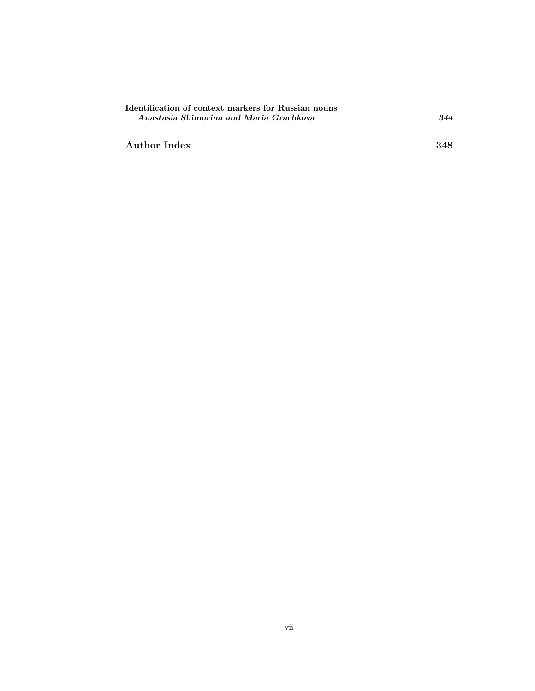| Identification of context markers for Russian nouns |     |
|-----------------------------------------------------|-----|
| Anastasia Shimorina and Maria Grachkova             | 344 |

Author Index 348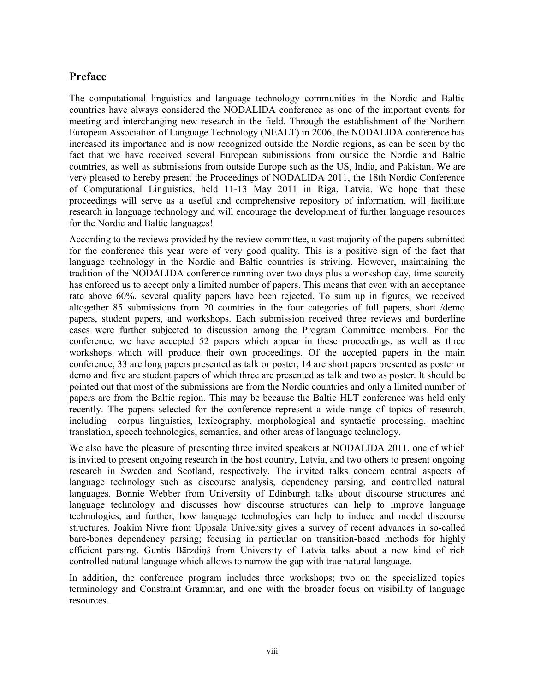### **Preface**

The computational linguistics and language technology communities in the Nordic and Baltic countries have always considered the NODALIDA conference as one of the important events for meeting and interchanging new research in the field. Through the establishment of the Northern European Association of Language Technology (NEALT) in 2006, the NODALIDA conference has increased its importance and is now recognized outside the Nordic regions, as can be seen by the fact that we have received several European submissions from outside the Nordic and Baltic countries, as well as submissions from outside Europe such as the US, India, and Pakistan. We are very pleased to hereby present the Proceedings of NODALIDA 2011, the 18th Nordic Conference of Computational Linguistics, held 11-13 May 2011 in Riga, Latvia. We hope that these proceedings will serve as a useful and comprehensive repository of information, will facilitate research in language technology and will encourage the development of further language resources for the Nordic and Baltic languages!

According to the reviews provided by the review committee, a vast majority of the papers submitted for the conference this year were of very good quality. This is a positive sign of the fact that language technology in the Nordic and Baltic countries is striving. However, maintaining the tradition of the NODALIDA conference running over two days plus a workshop day, time scarcity has enforced us to accept only a limited number of papers. This means that even with an acceptance rate above 60%, several quality papers have been rejected. To sum up in figures, we received altogether 85 submissions from 20 countries in the four categories of full papers, short /demo papers, student papers, and workshops. Each submission received three reviews and borderline cases were further subjected to discussion among the Program Committee members. For the conference, we have accepted 52 papers which appear in these proceedings, as well as three workshops which will produce their own proceedings. Of the accepted papers in the main conference, 33 are long papers presented as talk or poster, 14 are short papers presented as poster or demo and five are student papers of which three are presented as talk and two as poster. It should be pointed out that most of the submissions are from the Nordic countries and only a limited number of papers are from the Baltic region. This may be because the Baltic HLT conference was held only recently. The papers selected for the conference represent a wide range of topics of research, including corpus linguistics, lexicography, morphological and syntactic processing, machine translation, speech technologies, semantics, and other areas of language technology.

We also have the pleasure of presenting three invited speakers at NODALIDA 2011, one of which is invited to present ongoing research in the host country, Latvia, and two others to present ongoing research in Sweden and Scotland, respectively. The invited talks concern central aspects of language technology such as discourse analysis, dependency parsing, and controlled natural languages. Bonnie Webber from University of Edinburgh talks about discourse structures and language technology and discusses how discourse structures can help to improve language technologies, and further, how language technologies can help to induce and model discourse structures. Joakim Nivre from Uppsala University gives a survey of recent advances in so-called bare-bones dependency parsing; focusing in particular on transition-based methods for highly efficient parsing. Guntis Bārzdiņš from University of Latvia talks about a new kind of rich controlled natural language which allows to narrow the gap with true natural language.

In addition, the conference program includes three workshops; two on the specialized topics terminology and Constraint Grammar, and one with the broader focus on visibility of language resources.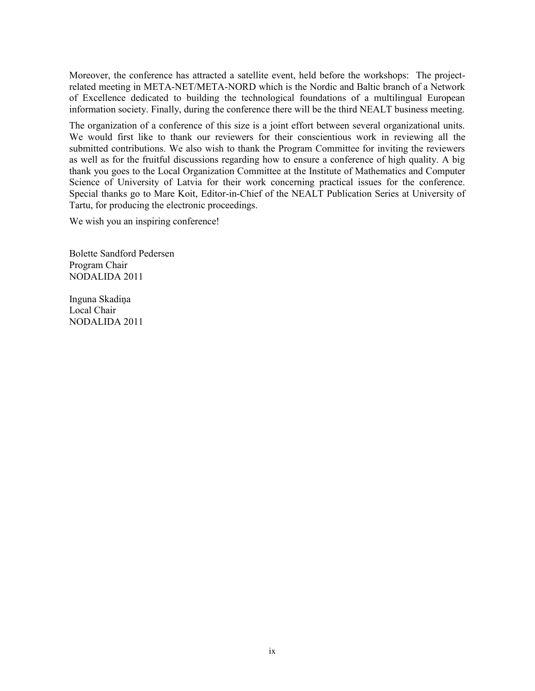Moreover, the conference has attracted a satellite event, held before the workshops: The projectrelated meeting in META-NET/META-NORD which is the Nordic and Baltic branch of a Network of Excellence dedicated to building the technological foundations of a multilingual European information society. Finally, during the conference there will be the third NEALT business meeting.

The organization of a conference of this size is a joint effort between several organizational units. We would first like to thank our reviewers for their conscientious work in reviewing all the submitted contributions. We also wish to thank the Program Committee for inviting the reviewers as well as for the fruitful discussions regarding how to ensure a conference of high quality. A big thank you goes to the Local Organization Committee at the Institute of Mathematics and Computer Science of University of Latvia for their work concerning practical issues for the conference. Special thanks go to Mare Koit, Editor-in-Chief of the NEALT Publication Series at University of Tartu, for producing the electronic proceedings.

We wish you an inspiring conference!

Bolette Sandford Pedersen Program Chair NODALIDA 2011

Inguna Skadiņa Local Chair NODALIDA 2011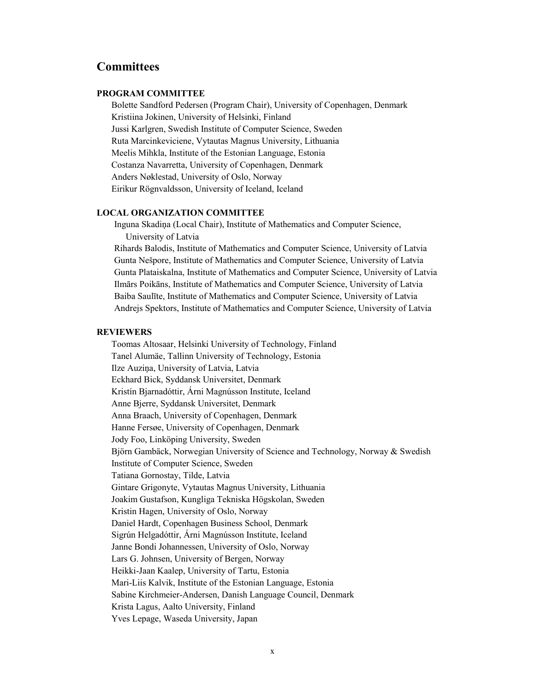### **Committees**

#### **PROGRAM COMMITTEE**

Bolette Sandford Pedersen (Program Chair), University of Copenhagen, Denmark Kristiina Jokinen, University of Helsinki, Finland Jussi Karlgren, Swedish Institute of Computer Science, Sweden Ruta Marcinkeviciene, Vytautas Magnus University, Lithuania Meelis Mihkla, Institute of the Estonian Language, Estonia Costanza Navarretta, University of Copenhagen, Denmark Anders Nøklestad, University of Oslo, Norway Eirikur Rögnvaldsson, University of Iceland, Iceland

#### **LOCAL ORGANIZATION COMMITTEE**

Inguna Skadiņa (Local Chair), Institute of Mathematics and Computer Science, University of Latvia

Rihards Balodis, Institute of Mathematics and Computer Science, University of Latvia Gunta Nešpore, Institute of Mathematics and Computer Science, University of Latvia Gunta Plataiskalna, Institute of Mathematics and Computer Science, University of Latvia Ilmārs Poikāns, Institute of Mathematics and Computer Science, University of Latvia Baiba Saulīte, Institute of Mathematics and Computer Science, University of Latvia Andrejs Spektors, Institute of Mathematics and Computer Science, University of Latvia

#### **REVIEWERS**

Toomas Altosaar, Helsinki University of Technology, Finland Tanel Alumäe, Tallinn University of Technology, Estonia Ilze Auziņa, University of Latvia, Latvia Eckhard Bick, Syddansk Universitet, Denmark Kristín Bjarnadóttir, Árni Magnússon Institute, Iceland Anne Bjerre, Syddansk Universitet, Denmark Anna Braach, University of Copenhagen, Denmark Hanne Fersøe, University of Copenhagen, Denmark Jody Foo, Linköping University, Sweden Björn Gambäck, Norwegian University of Science and Technology, Norway & Swedish Institute of Computer Science, Sweden Tatiana Gornostay, Tilde, Latvia Gintare Grigonyte, Vytautas Magnus University, Lithuania Joakim Gustafson, Kungliga Tekniska Högskolan, Sweden Kristin Hagen, University of Oslo, Norway Daniel Hardt, Copenhagen Business School, Denmark Sigrún Helgadóttir, Árni Magnússon Institute, Iceland Janne Bondi Johannessen, University of Oslo, Norway Lars G. Johnsen, University of Bergen, Norway Heikki-Jaan Kaalep, University of Tartu, Estonia Mari-Liis Kalvik, Institute of the Estonian Language, Estonia Sabine Kirchmeier-Andersen, Danish Language Council, Denmark Krista Lagus, Aalto University, Finland Yves Lepage, Waseda University, Japan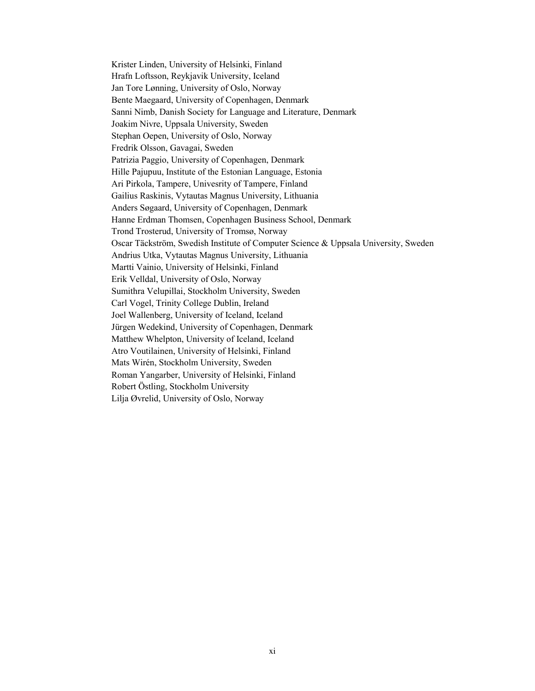Krister Linden, University of Helsinki, Finland Hrafn Loftsson, Reykjavik University, Iceland Jan Tore Lønning, University of Oslo, Norway Bente Maegaard, University of Copenhagen, Denmark Sanni Nimb, Danish Society for Language and Literature, Denmark Joakim Nivre, Uppsala University, Sweden Stephan Oepen, University of Oslo, Norway Fredrik Olsson, Gavagai, Sweden Patrizia Paggio, University of Copenhagen, Denmark Hille Pajupuu, Institute of the Estonian Language, Estonia Ari Pirkola, Tampere, Univesrity of Tampere, Finland Gailius Raskinis, Vytautas Magnus University, Lithuania Anders Søgaard, University of Copenhagen, Denmark Hanne Erdman Thomsen, Copenhagen Business School, Denmark Trond Trosterud, University of Tromsø, Norway Oscar Täckström, Swedish Institute of Computer Science & Uppsala University, Sweden Andrius Utka, Vytautas Magnus University, Lithuania Martti Vainio, University of Helsinki, Finland Erik Velldal, University of Oslo, Norway Sumithra Velupillai, Stockholm University, Sweden Carl Vogel, Trinity College Dublin, Ireland Joel Wallenberg, University of Iceland, Iceland Jürgen Wedekind, University of Copenhagen, Denmark Matthew Whelpton, University of Iceland, Iceland Atro Voutilainen, University of Helsinki, Finland Mats Wirén, Stockholm University, Sweden Roman Yangarber, University of Helsinki, Finland Robert Östling, Stockholm University Lilja Øvrelid, University of Oslo, Norway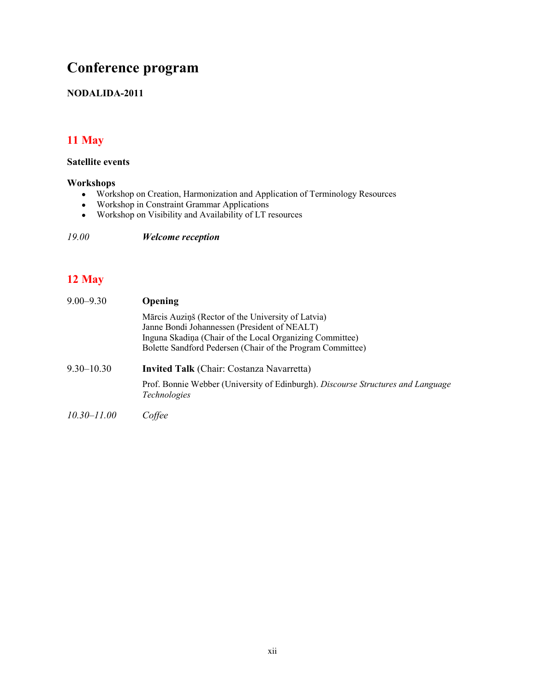## **Conference program**

### **NODALIDA-2011**

## **11 May**

### **Satellite events**

### **Workshops**

- Workshop on Creation, Harmonization and Application of Terminology Resources
- Workshop in Constraint Grammar Applications
- Workshop on Visibility and Availability of LT resources

*19.00 Welcome reception*

### **12 May**

| $9.00 - 9.30$   | <b>Opening</b>                                                                                                                                                                                                               |  |
|-----------------|------------------------------------------------------------------------------------------------------------------------------------------------------------------------------------------------------------------------------|--|
|                 | Mārcis Auziņš (Rector of the University of Latvia)<br>Janne Bondi Johannessen (President of NEALT)<br>Inguna Skadina (Chair of the Local Organizing Committee)<br>Bolette Sandford Pedersen (Chair of the Program Committee) |  |
| $9.30 - 10.30$  | <b>Invited Talk</b> (Chair: Costanza Navarretta)                                                                                                                                                                             |  |
|                 | Prof. Bonnie Webber (University of Edinburgh). Discourse Structures and Language<br><i>Technologies</i>                                                                                                                      |  |
| $10.30 - 11.00$ | Coffee                                                                                                                                                                                                                       |  |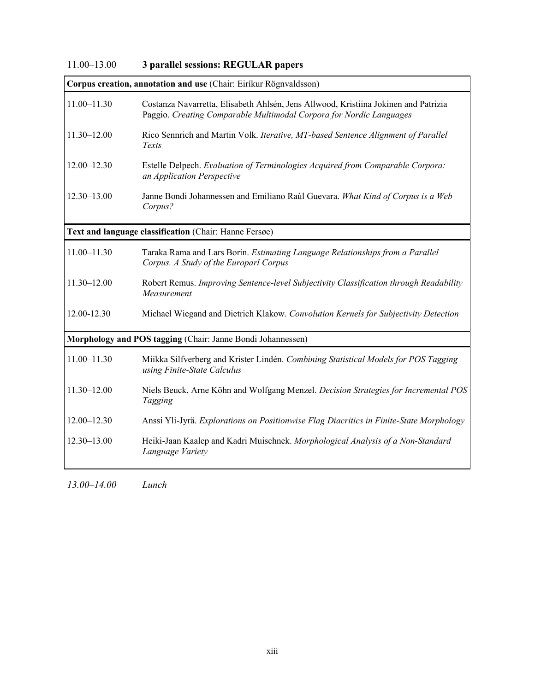| $11.00 - 13.00$<br>3 parallel sessions: REGULAR papers |  |
|--------------------------------------------------------|--|
|--------------------------------------------------------|--|

|                 | Corpus creation, annotation and use (Chair: Eiríkur Rögnvaldsson)                                                                                          |
|-----------------|------------------------------------------------------------------------------------------------------------------------------------------------------------|
| $11.00 - 11.30$ | Costanza Navarretta, Elisabeth Ahlsén, Jens Allwood, Kristiina Jokinen and Patrizia<br>Paggio. Creating Comparable Multimodal Corpora for Nordic Languages |
| $11.30 - 12.00$ | Rico Sennrich and Martin Volk. Iterative, MT-based Sentence Alignment of Parallel<br>Texts                                                                 |
| $12.00 - 12.30$ | Estelle Delpech. Evaluation of Terminologies Acquired from Comparable Corpora:<br>an Application Perspective                                               |
| $12.30 - 13.00$ | Janne Bondi Johannessen and Emiliano Raúl Guevara. What Kind of Corpus is a Web<br>Corpus?                                                                 |
|                 | Text and language classification (Chair: Hanne Fersøe)                                                                                                     |
| $11.00 - 11.30$ | Taraka Rama and Lars Borin. Estimating Language Relationships from a Parallel<br>Corpus. A Study of the Europarl Corpus                                    |
| 11.30-12.00     | Robert Remus. Improving Sentence-level Subjectivity Classification through Readability<br>Measurement                                                      |
| 12.00-12.30     | Michael Wiegand and Dietrich Klakow. Convolution Kernels for Subjectivity Detection                                                                        |
|                 | Morphology and POS tagging (Chair: Janne Bondi Johannessen)                                                                                                |
| $11.00 - 11.30$ | Miikka Silfverberg and Krister Lindén. Combining Statistical Models for POS Tagging<br>using Finite-State Calculus                                         |
| $11.30 - 12.00$ | Niels Beuck, Arne Köhn and Wolfgang Menzel. Decision Strategies for Incremental POS<br>Tagging                                                             |
| $12.00 - 12.30$ | Anssi Yli-Jyrä. Explorations on Positionwise Flag Diacritics in Finite-State Morphology                                                                    |
| $12.30 - 13.00$ | Heiki-Jaan Kaalep and Kadri Muischnek. Morphological Analysis of a Non-Standard<br>Language Variety                                                        |
|                 |                                                                                                                                                            |

*13.00*–*14.00 Lunch*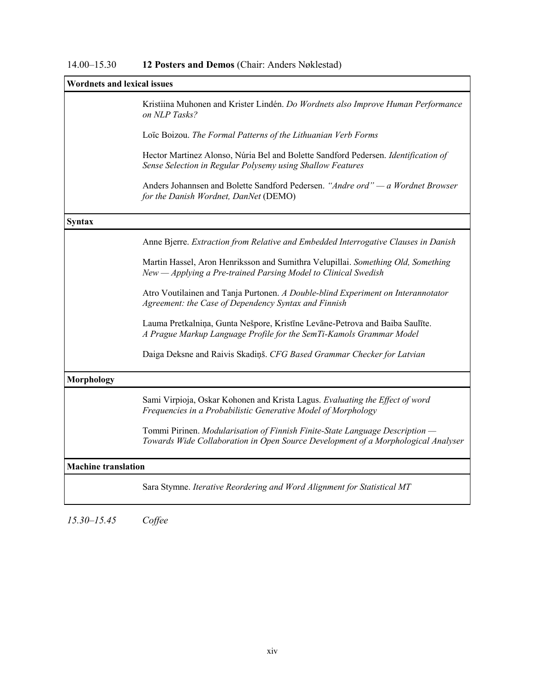## 14.00–15.30 **12 Posters and Demos** (Chair: Anders Nøklestad)

|                            | <b>Wordnets and lexical issues</b>                                                                                                                                |  |  |
|----------------------------|-------------------------------------------------------------------------------------------------------------------------------------------------------------------|--|--|
|                            | Kristiina Muhonen and Krister Lindén. Do Wordnets also Improve Human Performance<br>on NLP Tasks?                                                                 |  |  |
|                            | Loïc Boizou. The Formal Patterns of the Lithuanian Verb Forms                                                                                                     |  |  |
|                            | Hector Martinez Alonso, Núria Bel and Bolette Sandford Pedersen. Identification of<br>Sense Selection in Regular Polysemy using Shallow Features                  |  |  |
|                            | Anders Johannsen and Bolette Sandford Pedersen. "Andre ord" — a Wordnet Browser<br>for the Danish Wordnet, DanNet (DEMO)                                          |  |  |
| <b>Syntax</b>              |                                                                                                                                                                   |  |  |
|                            | Anne Bjerre. Extraction from Relative and Embedded Interrogative Clauses in Danish                                                                                |  |  |
|                            | Martin Hassel, Aron Henriksson and Sumithra Velupillai. Something Old, Something<br>New - Applying a Pre-trained Parsing Model to Clinical Swedish                |  |  |
|                            | Atro Voutilainen and Tanja Purtonen. A Double-blind Experiment on Interannotator<br>Agreement: the Case of Dependency Syntax and Finnish                          |  |  |
|                            | Lauma Pretkalniņa, Gunta Nešpore, Kristīne Levāne-Petrova and Baiba Saulīte.<br>A Prague Markup Language Profile for the SemTi-Kamols Grammar Model               |  |  |
|                            | Daiga Deksne and Raivis Skadiņš. CFG Based Grammar Checker for Latvian                                                                                            |  |  |
| <b>Morphology</b>          |                                                                                                                                                                   |  |  |
|                            | Sami Virpioja, Oskar Kohonen and Krista Lagus. Evaluating the Effect of word<br>Frequencies in a Probabilistic Generative Model of Morphology                     |  |  |
|                            | Tommi Pirinen. Modularisation of Finnish Finite-State Language Description -<br>Towards Wide Collaboration in Open Source Development of a Morphological Analyser |  |  |
| <b>Machine translation</b> |                                                                                                                                                                   |  |  |
|                            | Sara Stymne. Iterative Reordering and Word Alignment for Statistical MT                                                                                           |  |  |

*15.30*–*15.45 Coffee*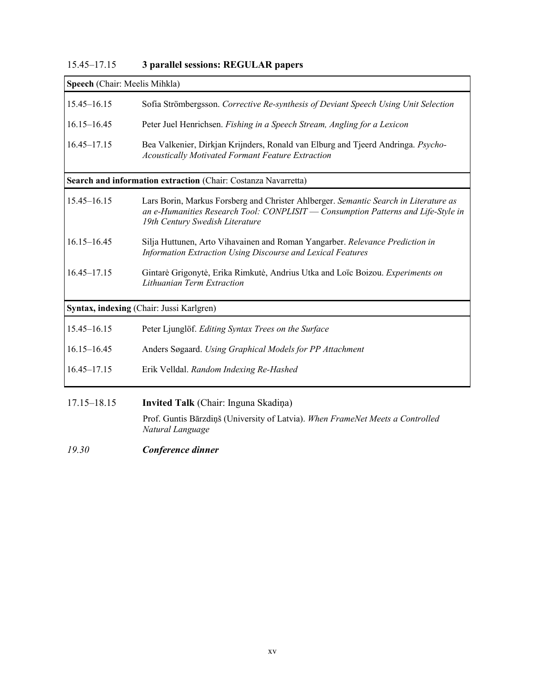| 15.45–17.15 |  | 3 parallel sessions: REGULAR papers |
|-------------|--|-------------------------------------|
|-------------|--|-------------------------------------|

| Speech (Chair: Meelis Mihkla) |                                                                                                                                                                                                              |
|-------------------------------|--------------------------------------------------------------------------------------------------------------------------------------------------------------------------------------------------------------|
| $15.45 - 16.15$               | Sofia Strömbergsson. Corrective Re-synthesis of Deviant Speech Using Unit Selection                                                                                                                          |
| $16.15 - 16.45$               | Peter Juel Henrichsen. Fishing in a Speech Stream, Angling for a Lexicon                                                                                                                                     |
| $16.45 - 17.15$               | Bea Valkenier, Dirkjan Krijnders, Ronald van Elburg and Tjeerd Andringa. Psycho-<br><b>Acoustically Motivated Formant Feature Extraction</b>                                                                 |
|                               | Search and information extraction (Chair: Costanza Navarretta)                                                                                                                                               |
| $15.45 - 16.15$               | Lars Borin, Markus Forsberg and Christer Ahlberger. Semantic Search in Literature as<br>an e-Humanities Research Tool: CONPLISIT — Consumption Patterns and Life-Style in<br>19th Century Swedish Literature |
| $16.15 - 16.45$               | Silja Huttunen, Arto Vihavainen and Roman Yangarber. Relevance Prediction in<br>Information Extraction Using Discourse and Lexical Features                                                                  |
| $16.45 - 17.15$               | Gintarė Grigonytė, Erika Rimkutė, Andrius Utka and Loïc Boizou. Experiments on<br>Lithuanian Term Extraction                                                                                                 |
|                               | Syntax, indexing (Chair: Jussi Karlgren)                                                                                                                                                                     |
| $15.45 - 16.15$               | Peter Ljunglöf. Editing Syntax Trees on the Surface                                                                                                                                                          |
| $16.15 - 16.45$               | Anders Søgaard. Using Graphical Models for PP Attachment                                                                                                                                                     |
| $16.45 - 17.15$               | Erik Velldal. Random Indexing Re-Hashed                                                                                                                                                                      |
| $17.15 - 18.15$               | <b>Invited Talk</b> (Chair: Inguna Skadiņa)                                                                                                                                                                  |
|                               | Prof. Guntis Bārzdiņš (University of Latvia). When FrameNet Meets a Controlled<br>Natural Language                                                                                                           |

*19.30 Conference dinner*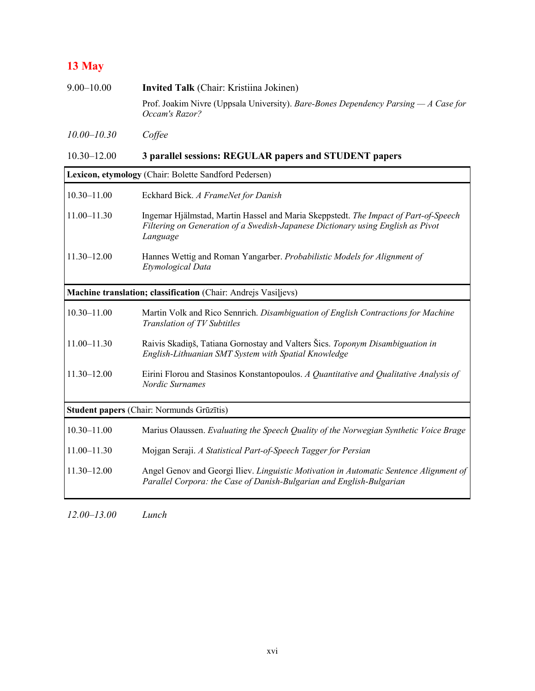## **13 May**

| $9.00 - 10.00$  | <b>Invited Talk</b> (Chair: Kristiina Jokinen)                                                         |
|-----------------|--------------------------------------------------------------------------------------------------------|
|                 | Prof. Joakim Nivre (Uppsala University). Bare-Bones Dependency Parsing $-A$ Case for<br>Occam's Razor? |
| $10.00 - 10.30$ | Coffee                                                                                                 |

## 10.30–12.00 **3 parallel sessions: REGULAR papers and STUDENT papers**

| Lexicon, etymology (Chair: Bolette Sandford Pedersen)          |                                                                                                                                                                                    |  |
|----------------------------------------------------------------|------------------------------------------------------------------------------------------------------------------------------------------------------------------------------------|--|
| $10.30 - 11.00$                                                | Eckhard Bick. A FrameNet for Danish                                                                                                                                                |  |
| $11.00 - 11.30$                                                | Ingemar Hjälmstad, Martin Hassel and Maria Skeppstedt. The Impact of Part-of-Speech<br>Filtering on Generation of a Swedish-Japanese Dictionary using English as Pivot<br>Language |  |
| $11.30 - 12.00$                                                | Hannes Wettig and Roman Yangarber. Probabilistic Models for Alignment of<br>Etymological Data                                                                                      |  |
| Machine translation; classification (Chair: Andrejs Vasiljevs) |                                                                                                                                                                                    |  |
| $10.30 - 11.00$                                                | Martin Volk and Rico Sennrich. Disambiguation of English Contractions for Machine<br>Translation of TV Subtitles                                                                   |  |
| $11.00 - 11.30$                                                | Raivis Skadiņš, Tatiana Gornostay and Valters Šics. Toponym Disambiguation in<br>English-Lithuanian SMT System with Spatial Knowledge                                              |  |
| $11.30 - 12.00$                                                | Eirini Florou and Stasinos Konstantopoulos. A Quantitative and Qualitative Analysis of<br>Nordic Surnames                                                                          |  |
| Student papers (Chair: Normunds Grūzītis)                      |                                                                                                                                                                                    |  |
| $10.30 - 11.00$                                                | Marius Olaussen. Evaluating the Speech Quality of the Norwegian Synthetic Voice Brage                                                                                              |  |
| $11.00 - 11.30$                                                | Mojgan Seraji. A Statistical Part-of-Speech Tagger for Persian                                                                                                                     |  |
| $11.30 - 12.00$                                                | Angel Genov and Georgi Iliev. Linguistic Motivation in Automatic Sentence Alignment of<br>Parallel Corpora: the Case of Danish-Bulgarian and English-Bulgarian                     |  |

*12.00*–*13.00 Lunch*